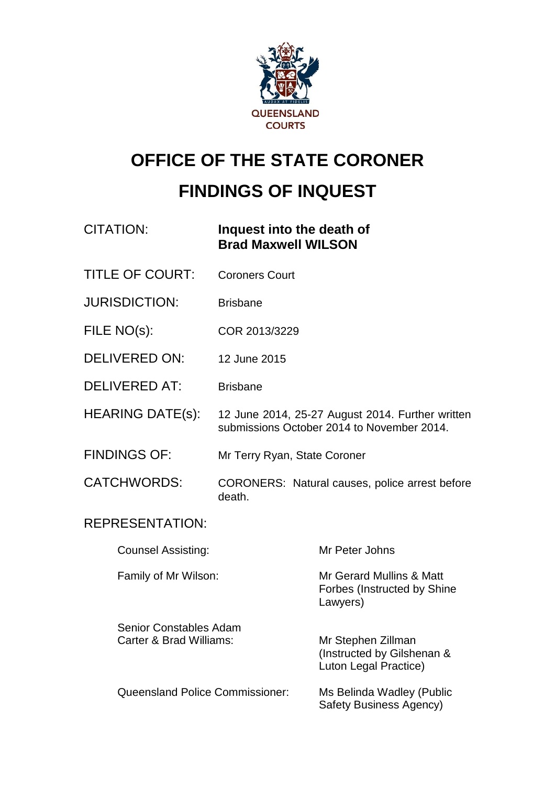

# **OFFICE OF THE STATE CORONER FINDINGS OF INQUEST**

| CITATION: | Inquest into the death of  |
|-----------|----------------------------|
|           | <b>Brad Maxwell WILSON</b> |

- TITLE OF COURT: Coroners Court
- JURISDICTION: Brisbane
- FILE NO(s): COR 2013/3229
- DELIVERED ON: 12 June 2015
- DELIVERED AT: Brisbane
- HEARING DATE(s): 12 June 2014, 25-27 August 2014. Further written submissions October 2014 to November 2014.
- FINDINGS OF: Mr Terry Ryan, State Coroner
- CATCHWORDS: CORONERS: Natural causes, police arrest before death.

### REPRESENTATION:

Counsel Assisting: Mr Peter Johns Family of Mr Wilson: Mr Gerard Mullins & Matt Forbes (Instructed by Shine Lawyers)

Senior Constables Adam Carter & Brad Williams: Mr Stephen Zillman (Instructed by Gilshenan & Luton Legal Practice) Queensland Police Commissioner: Ms Belinda Wadley (Public Safety Business Agency)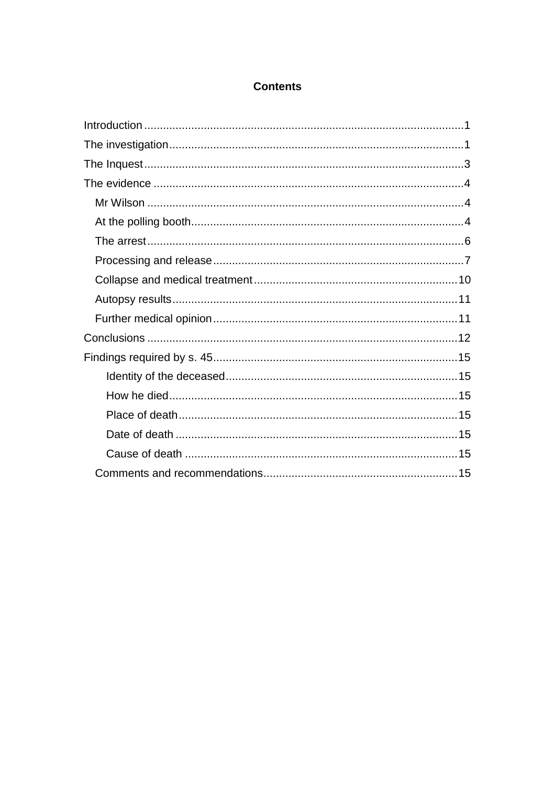### **Contents**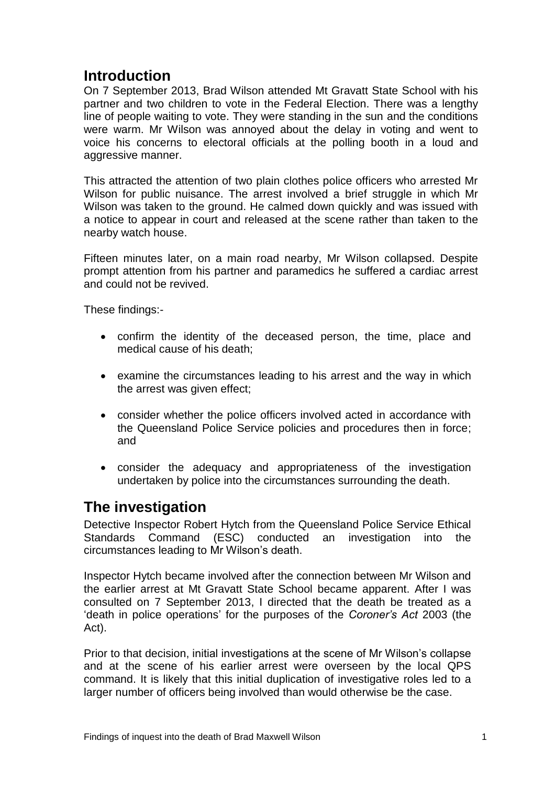### <span id="page-2-0"></span>**Introduction**

On 7 September 2013, Brad Wilson attended Mt Gravatt State School with his partner and two children to vote in the Federal Election. There was a lengthy line of people waiting to vote. They were standing in the sun and the conditions were warm. Mr Wilson was annoyed about the delay in voting and went to voice his concerns to electoral officials at the polling booth in a loud and aggressive manner.

This attracted the attention of two plain clothes police officers who arrested Mr Wilson for public nuisance. The arrest involved a brief struggle in which Mr Wilson was taken to the ground. He calmed down quickly and was issued with a notice to appear in court and released at the scene rather than taken to the nearby watch house.

Fifteen minutes later, on a main road nearby, Mr Wilson collapsed. Despite prompt attention from his partner and paramedics he suffered a cardiac arrest and could not be revived.

These findings:-

- confirm the identity of the deceased person, the time, place and medical cause of his death;
- examine the circumstances leading to his arrest and the way in which the arrest was given effect;
- consider whether the police officers involved acted in accordance with the Queensland Police Service policies and procedures then in force; and
- consider the adequacy and appropriateness of the investigation undertaken by police into the circumstances surrounding the death.

### <span id="page-2-1"></span>**The investigation**

Detective Inspector Robert Hytch from the Queensland Police Service Ethical Standards Command (ESC) conducted an investigation into the circumstances leading to Mr Wilson's death.

Inspector Hytch became involved after the connection between Mr Wilson and the earlier arrest at Mt Gravatt State School became apparent. After I was consulted on 7 September 2013, I directed that the death be treated as a 'death in police operations' for the purposes of the *Coroner's Act* 2003 (the Act).

Prior to that decision, initial investigations at the scene of Mr Wilson's collapse and at the scene of his earlier arrest were overseen by the local QPS command. It is likely that this initial duplication of investigative roles led to a larger number of officers being involved than would otherwise be the case.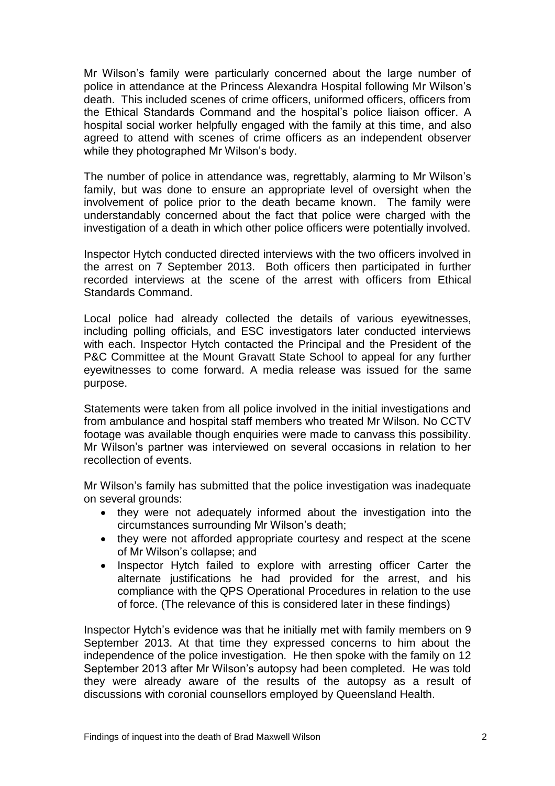Mr Wilson's family were particularly concerned about the large number of police in attendance at the Princess Alexandra Hospital following Mr Wilson's death. This included scenes of crime officers, uniformed officers, officers from the Ethical Standards Command and the hospital's police liaison officer. A hospital social worker helpfully engaged with the family at this time, and also agreed to attend with scenes of crime officers as an independent observer while they photographed Mr Wilson's body.

The number of police in attendance was, regrettably, alarming to Mr Wilson's family, but was done to ensure an appropriate level of oversight when the involvement of police prior to the death became known. The family were understandably concerned about the fact that police were charged with the investigation of a death in which other police officers were potentially involved.

Inspector Hytch conducted directed interviews with the two officers involved in the arrest on 7 September 2013. Both officers then participated in further recorded interviews at the scene of the arrest with officers from Ethical Standards Command.

Local police had already collected the details of various eyewitnesses, including polling officials, and ESC investigators later conducted interviews with each. Inspector Hytch contacted the Principal and the President of the P&C Committee at the Mount Gravatt State School to appeal for any further eyewitnesses to come forward. A media release was issued for the same purpose.

Statements were taken from all police involved in the initial investigations and from ambulance and hospital staff members who treated Mr Wilson. No CCTV footage was available though enquiries were made to canvass this possibility. Mr Wilson's partner was interviewed on several occasions in relation to her recollection of events.

Mr Wilson's family has submitted that the police investigation was inadequate on several grounds:

- they were not adequately informed about the investigation into the circumstances surrounding Mr Wilson's death;
- they were not afforded appropriate courtesy and respect at the scene of Mr Wilson's collapse; and
- Inspector Hytch failed to explore with arresting officer Carter the alternate justifications he had provided for the arrest, and his compliance with the QPS Operational Procedures in relation to the use of force. (The relevance of this is considered later in these findings)

Inspector Hytch's evidence was that he initially met with family members on 9 September 2013. At that time they expressed concerns to him about the independence of the police investigation. He then spoke with the family on 12 September 2013 after Mr Wilson's autopsy had been completed. He was told they were already aware of the results of the autopsy as a result of discussions with coronial counsellors employed by Queensland Health.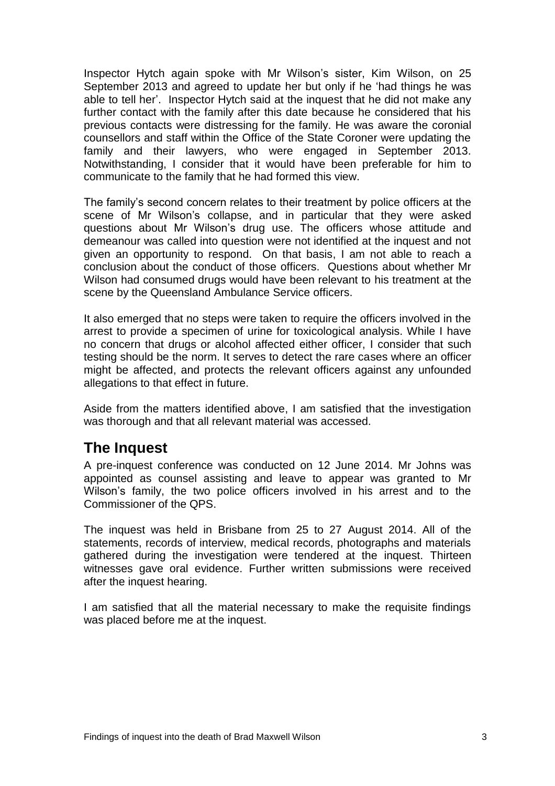Inspector Hytch again spoke with Mr Wilson's sister, Kim Wilson, on 25 September 2013 and agreed to update her but only if he 'had things he was able to tell her'. Inspector Hytch said at the inquest that he did not make any further contact with the family after this date because he considered that his previous contacts were distressing for the family. He was aware the coronial counsellors and staff within the Office of the State Coroner were updating the family and their lawyers, who were engaged in September 2013. Notwithstanding, I consider that it would have been preferable for him to communicate to the family that he had formed this view.

The family's second concern relates to their treatment by police officers at the scene of Mr Wilson's collapse, and in particular that they were asked questions about Mr Wilson's drug use. The officers whose attitude and demeanour was called into question were not identified at the inquest and not given an opportunity to respond. On that basis, I am not able to reach a conclusion about the conduct of those officers. Questions about whether Mr Wilson had consumed drugs would have been relevant to his treatment at the scene by the Queensland Ambulance Service officers.

It also emerged that no steps were taken to require the officers involved in the arrest to provide a specimen of urine for toxicological analysis. While I have no concern that drugs or alcohol affected either officer, I consider that such testing should be the norm. It serves to detect the rare cases where an officer might be affected, and protects the relevant officers against any unfounded allegations to that effect in future.

Aside from the matters identified above, I am satisfied that the investigation was thorough and that all relevant material was accessed.

# <span id="page-4-0"></span>**The Inquest**

A pre-inquest conference was conducted on 12 June 2014. Mr Johns was appointed as counsel assisting and leave to appear was granted to Mr Wilson's family, the two police officers involved in his arrest and to the Commissioner of the QPS.

The inquest was held in Brisbane from 25 to 27 August 2014. All of the statements, records of interview, medical records, photographs and materials gathered during the investigation were tendered at the inquest. Thirteen witnesses gave oral evidence. Further written submissions were received after the inquest hearing.

I am satisfied that all the material necessary to make the requisite findings was placed before me at the inquest.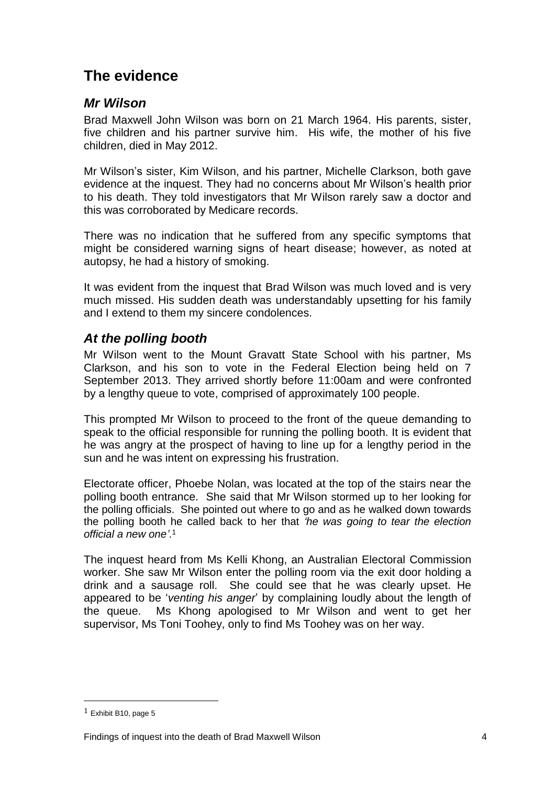# <span id="page-5-0"></span>**The evidence**

### <span id="page-5-1"></span>*Mr Wilson*

Brad Maxwell John Wilson was born on 21 March 1964. His parents, sister, five children and his partner survive him. His wife, the mother of his five children, died in May 2012.

Mr Wilson's sister, Kim Wilson, and his partner, Michelle Clarkson, both gave evidence at the inquest. They had no concerns about Mr Wilson's health prior to his death. They told investigators that Mr Wilson rarely saw a doctor and this was corroborated by Medicare records.

There was no indication that he suffered from any specific symptoms that might be considered warning signs of heart disease; however, as noted at autopsy, he had a history of smoking.

It was evident from the inquest that Brad Wilson was much loved and is very much missed. His sudden death was understandably upsetting for his family and I extend to them my sincere condolences.

### <span id="page-5-2"></span>*At the polling booth*

Mr Wilson went to the Mount Gravatt State School with his partner, Ms Clarkson, and his son to vote in the Federal Election being held on 7 September 2013. They arrived shortly before 11:00am and were confronted by a lengthy queue to vote, comprised of approximately 100 people.

This prompted Mr Wilson to proceed to the front of the queue demanding to speak to the official responsible for running the polling booth. It is evident that he was angry at the prospect of having to line up for a lengthy period in the sun and he was intent on expressing his frustration.

Electorate officer, Phoebe Nolan, was located at the top of the stairs near the polling booth entrance. She said that Mr Wilson stormed up to her looking for the polling officials. She pointed out where to go and as he walked down towards the polling booth he called back to her that *'he was going to tear the election official a new one'*. 1

The inquest heard from Ms Kelli Khong, an Australian Electoral Commission worker. She saw Mr Wilson enter the polling room via the exit door holding a drink and a sausage roll. She could see that he was clearly upset. He appeared to be '*venting his anger*' by complaining loudly about the length of the queue. Ms Khong apologised to Mr Wilson and went to get her supervisor, Ms Toni Toohey, only to find Ms Toohey was on her way.

 $1$  Exhibit B10, page 5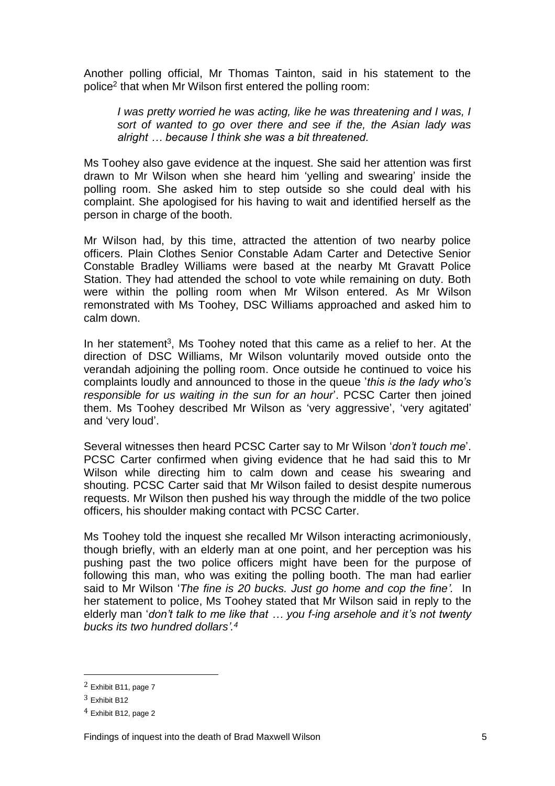Another polling official, Mr Thomas Tainton, said in his statement to the police<sup>2</sup> that when Mr Wilson first entered the polling room:

*I* was pretty worried he was acting, like he was threatening and *I* was, *I sort of wanted to go over there and see if the, the Asian lady was alright … because I think she was a bit threatened.*

Ms Toohey also gave evidence at the inquest. She said her attention was first drawn to Mr Wilson when she heard him 'yelling and swearing' inside the polling room. She asked him to step outside so she could deal with his complaint. She apologised for his having to wait and identified herself as the person in charge of the booth.

Mr Wilson had, by this time, attracted the attention of two nearby police officers. Plain Clothes Senior Constable Adam Carter and Detective Senior Constable Bradley Williams were based at the nearby Mt Gravatt Police Station. They had attended the school to vote while remaining on duty. Both were within the polling room when Mr Wilson entered. As Mr Wilson remonstrated with Ms Toohey, DSC Williams approached and asked him to calm down.

In her statement<sup>3</sup>, Ms Toohey noted that this came as a relief to her. At the direction of DSC Williams, Mr Wilson voluntarily moved outside onto the verandah adjoining the polling room. Once outside he continued to voice his complaints loudly and announced to those in the queue '*this is the lady who's responsible for us waiting in the sun for an hour*'. PCSC Carter then joined them. Ms Toohey described Mr Wilson as 'very aggressive', 'very agitated' and 'very loud'.

Several witnesses then heard PCSC Carter say to Mr Wilson '*don't touch me*'. PCSC Carter confirmed when giving evidence that he had said this to Mr Wilson while directing him to calm down and cease his swearing and shouting. PCSC Carter said that Mr Wilson failed to desist despite numerous requests. Mr Wilson then pushed his way through the middle of the two police officers, his shoulder making contact with PCSC Carter.

Ms Toohey told the inquest she recalled Mr Wilson interacting acrimoniously, though briefly, with an elderly man at one point, and her perception was his pushing past the two police officers might have been for the purpose of following this man, who was exiting the polling booth. The man had earlier said to Mr Wilson '*The fine is 20 bucks. Just go home and cop the fine'.* In her statement to police, Ms Toohey stated that Mr Wilson said in reply to the elderly man '*don't talk to me like that … you f-ing arsehole and it's not twenty bucks its two hundred dollars'. 4*

<sup>2</sup> Exhibit B11, page 7

<sup>3</sup> Exhibit B12

<sup>4</sup> Exhibit B12, page 2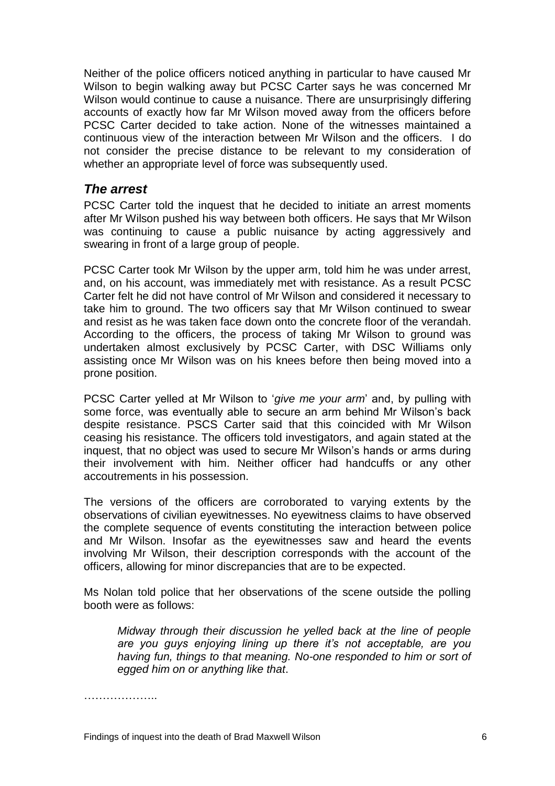Neither of the police officers noticed anything in particular to have caused Mr Wilson to begin walking away but PCSC Carter says he was concerned Mr Wilson would continue to cause a nuisance. There are unsurprisingly differing accounts of exactly how far Mr Wilson moved away from the officers before PCSC Carter decided to take action. None of the witnesses maintained a continuous view of the interaction between Mr Wilson and the officers. I do not consider the precise distance to be relevant to my consideration of whether an appropriate level of force was subsequently used.

#### <span id="page-7-0"></span>*The arrest*

PCSC Carter told the inquest that he decided to initiate an arrest moments after Mr Wilson pushed his way between both officers. He says that Mr Wilson was continuing to cause a public nuisance by acting aggressively and swearing in front of a large group of people.

PCSC Carter took Mr Wilson by the upper arm, told him he was under arrest, and, on his account, was immediately met with resistance. As a result PCSC Carter felt he did not have control of Mr Wilson and considered it necessary to take him to ground. The two officers say that Mr Wilson continued to swear and resist as he was taken face down onto the concrete floor of the verandah. According to the officers, the process of taking Mr Wilson to ground was undertaken almost exclusively by PCSC Carter, with DSC Williams only assisting once Mr Wilson was on his knees before then being moved into a prone position.

PCSC Carter yelled at Mr Wilson to '*give me your arm*' and, by pulling with some force, was eventually able to secure an arm behind Mr Wilson's back despite resistance. PSCS Carter said that this coincided with Mr Wilson ceasing his resistance. The officers told investigators, and again stated at the inquest, that no object was used to secure Mr Wilson's hands or arms during their involvement with him. Neither officer had handcuffs or any other accoutrements in his possession.

The versions of the officers are corroborated to varying extents by the observations of civilian eyewitnesses. No eyewitness claims to have observed the complete sequence of events constituting the interaction between police and Mr Wilson. Insofar as the eyewitnesses saw and heard the events involving Mr Wilson, their description corresponds with the account of the officers, allowing for minor discrepancies that are to be expected.

Ms Nolan told police that her observations of the scene outside the polling booth were as follows:

*Midway through their discussion he yelled back at the line of people are you guys enjoying lining up there it's not acceptable, are you having fun, things to that meaning. No-one responded to him or sort of egged him on or anything like that*.

………………..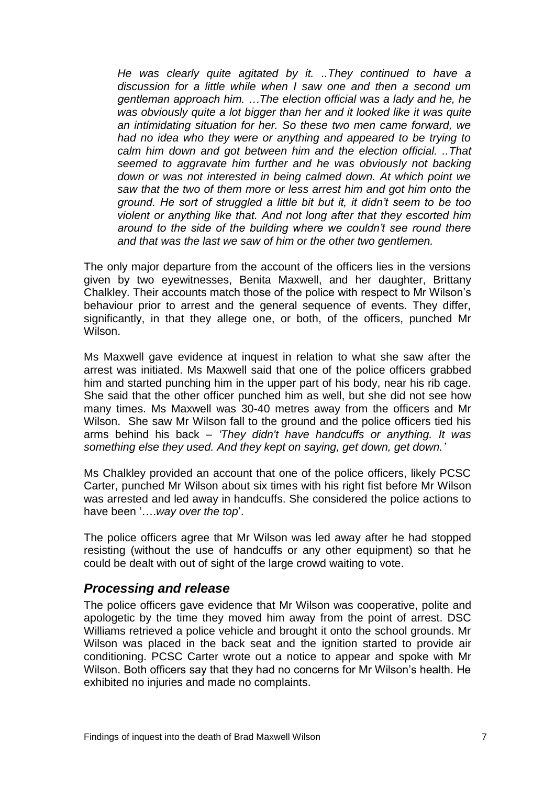*He was clearly quite agitated by it. ..They continued to have a discussion for a little while when I saw one and then a second um gentleman approach him. …The election official was a lady and he, he was obviously quite a lot bigger than her and it looked like it was quite an intimidating situation for her. So these two men came forward, we had no idea who they were or anything and appeared to be trying to calm him down and got between him and the election official. ..That seemed to aggravate him further and he was obviously not backing down or was not interested in being calmed down. At which point we saw that the two of them more or less arrest him and got him onto the ground. He sort of struggled a little bit but it, it didn't seem to be too violent or anything like that. And not long after that they escorted him around to the side of the building where we couldn't see round there and that was the last we saw of him or the other two gentlemen.*

The only major departure from the account of the officers lies in the versions given by two eyewitnesses, Benita Maxwell, and her daughter, Brittany Chalkley. Their accounts match those of the police with respect to Mr Wilson's behaviour prior to arrest and the general sequence of events. They differ, significantly, in that they allege one, or both, of the officers, punched Mr Wilson.

Ms Maxwell gave evidence at inquest in relation to what she saw after the arrest was initiated. Ms Maxwell said that one of the police officers grabbed him and started punching him in the upper part of his body, near his rib cage. She said that the other officer punched him as well, but she did not see how many times. Ms Maxwell was 30-40 metres away from the officers and Mr Wilson. She saw Mr Wilson fall to the ground and the police officers tied his arms behind his back *– 'They didn't have handcuffs or anything. It was something else they used. And they kept on saying, get down, get down.'*

Ms Chalkley provided an account that one of the police officers, likely PCSC Carter, punched Mr Wilson about six times with his right fist before Mr Wilson was arrested and led away in handcuffs. She considered the police actions to have been '….*way over the top*'.

The police officers agree that Mr Wilson was led away after he had stopped resisting (without the use of handcuffs or any other equipment) so that he could be dealt with out of sight of the large crowd waiting to vote.

#### <span id="page-8-0"></span>*Processing and release*

The police officers gave evidence that Mr Wilson was cooperative, polite and apologetic by the time they moved him away from the point of arrest. DSC Williams retrieved a police vehicle and brought it onto the school grounds. Mr Wilson was placed in the back seat and the ignition started to provide air conditioning. PCSC Carter wrote out a notice to appear and spoke with Mr Wilson. Both officers say that they had no concerns for Mr Wilson's health. He exhibited no injuries and made no complaints.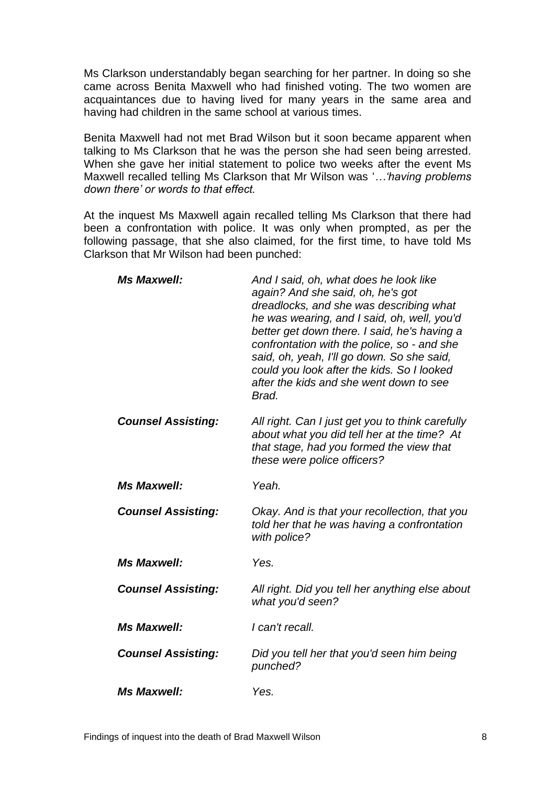Ms Clarkson understandably began searching for her partner. In doing so she came across Benita Maxwell who had finished voting. The two women are acquaintances due to having lived for many years in the same area and having had children in the same school at various times.

Benita Maxwell had not met Brad Wilson but it soon became apparent when talking to Ms Clarkson that he was the person she had seen being arrested. When she gave her initial statement to police two weeks after the event Ms Maxwell recalled telling Ms Clarkson that Mr Wilson was '*…'having problems down there' or words to that effect.*

At the inquest Ms Maxwell again recalled telling Ms Clarkson that there had been a confrontation with police. It was only when prompted, as per the following passage, that she also claimed, for the first time, to have told Ms Clarkson that Mr Wilson had been punched:

| <b>Ms Maxwell:</b>        | And I said, oh, what does he look like<br>again? And she said, oh, he's got<br>dreadlocks, and she was describing what<br>he was wearing, and I said, oh, well, you'd<br>better get down there. I said, he's having a<br>confrontation with the police, so - and she<br>said, oh, yeah, I'll go down. So she said,<br>could you look after the kids. So I looked<br>after the kids and she went down to see<br>Brad. |
|---------------------------|----------------------------------------------------------------------------------------------------------------------------------------------------------------------------------------------------------------------------------------------------------------------------------------------------------------------------------------------------------------------------------------------------------------------|
| <b>Counsel Assisting:</b> | All right. Can I just get you to think carefully<br>about what you did tell her at the time? At<br>that stage, had you formed the view that<br>these were police officers?                                                                                                                                                                                                                                           |
| <b>Ms Maxwell:</b>        | Yeah.                                                                                                                                                                                                                                                                                                                                                                                                                |
| <b>Counsel Assisting:</b> | Okay. And is that your recollection, that you<br>told her that he was having a confrontation<br>with police?                                                                                                                                                                                                                                                                                                         |
| <b>Ms Maxwell:</b>        | Yes.                                                                                                                                                                                                                                                                                                                                                                                                                 |
| <b>Counsel Assisting:</b> | All right. Did you tell her anything else about<br>what you'd seen?                                                                                                                                                                                                                                                                                                                                                  |
| <b>Ms Maxwell:</b>        | I can't recall.                                                                                                                                                                                                                                                                                                                                                                                                      |
| <b>Counsel Assisting:</b> | Did you tell her that you'd seen him being<br>punched?                                                                                                                                                                                                                                                                                                                                                               |
| <b>Ms Maxwell:</b>        | Yes.                                                                                                                                                                                                                                                                                                                                                                                                                 |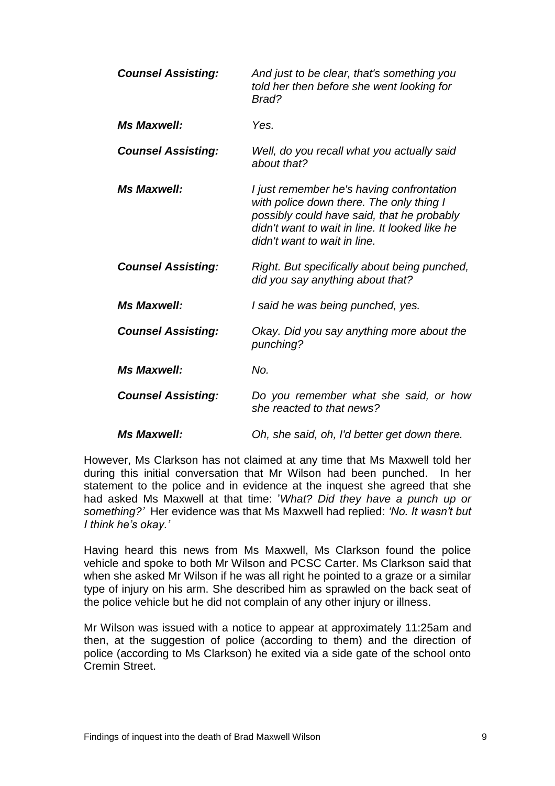| <b>Counsel Assisting:</b> | And just to be clear, that's something you<br>told her then before she went looking for<br>Brad?                                                                                                                      |
|---------------------------|-----------------------------------------------------------------------------------------------------------------------------------------------------------------------------------------------------------------------|
| <b>Ms Maxwell:</b>        | Yes.                                                                                                                                                                                                                  |
| <b>Counsel Assisting:</b> | Well, do you recall what you actually said<br>about that?                                                                                                                                                             |
| <b>Ms Maxwell:</b>        | I just remember he's having confrontation<br>with police down there. The only thing I<br>possibly could have said, that he probably<br>didn't want to wait in line. It looked like he<br>didn't want to wait in line. |
| <b>Counsel Assisting:</b> | Right. But specifically about being punched,<br>did you say anything about that?                                                                                                                                      |
| <b>Ms Maxwell:</b>        | I said he was being punched, yes.                                                                                                                                                                                     |
| <b>Counsel Assisting:</b> | Okay. Did you say anything more about the<br>punching?                                                                                                                                                                |
| <b>Ms Maxwell:</b>        | No.                                                                                                                                                                                                                   |
| <b>Counsel Assisting:</b> | Do you remember what she said, or how<br>she reacted to that news?                                                                                                                                                    |
| <b>Ms Maxwell:</b>        | Oh, she said, oh, I'd better get down there.                                                                                                                                                                          |

However, Ms Clarkson has not claimed at any time that Ms Maxwell told her during this initial conversation that Mr Wilson had been punched. In her statement to the police and in evidence at the inquest she agreed that she had asked Ms Maxwell at that time: '*What? Did they have a punch up or something?'* Her evidence was that Ms Maxwell had replied: *'No. It wasn't but I think he's okay.'*

Having heard this news from Ms Maxwell, Ms Clarkson found the police vehicle and spoke to both Mr Wilson and PCSC Carter. Ms Clarkson said that when she asked Mr Wilson if he was all right he pointed to a graze or a similar type of injury on his arm. She described him as sprawled on the back seat of the police vehicle but he did not complain of any other injury or illness.

Mr Wilson was issued with a notice to appear at approximately 11:25am and then, at the suggestion of police (according to them) and the direction of police (according to Ms Clarkson) he exited via a side gate of the school onto Cremin Street.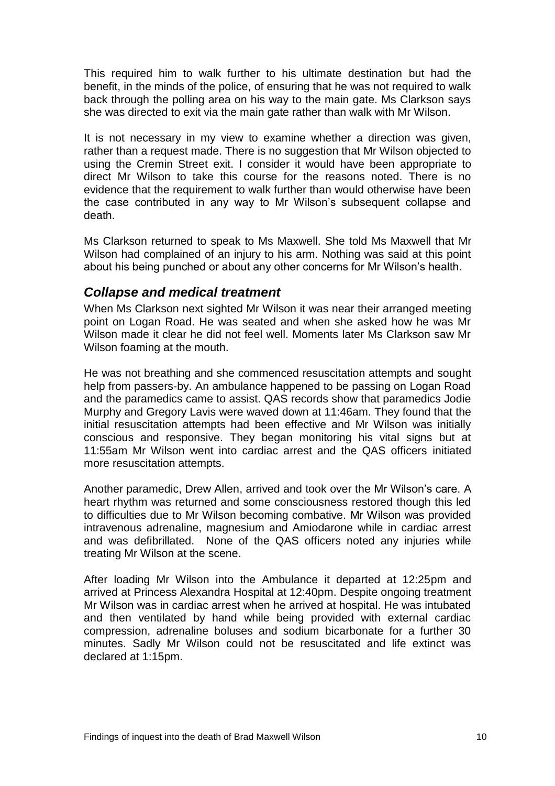This required him to walk further to his ultimate destination but had the benefit, in the minds of the police, of ensuring that he was not required to walk back through the polling area on his way to the main gate. Ms Clarkson says she was directed to exit via the main gate rather than walk with Mr Wilson.

It is not necessary in my view to examine whether a direction was given, rather than a request made. There is no suggestion that Mr Wilson objected to using the Cremin Street exit. I consider it would have been appropriate to direct Mr Wilson to take this course for the reasons noted. There is no evidence that the requirement to walk further than would otherwise have been the case contributed in any way to Mr Wilson's subsequent collapse and death.

Ms Clarkson returned to speak to Ms Maxwell. She told Ms Maxwell that Mr Wilson had complained of an injury to his arm. Nothing was said at this point about his being punched or about any other concerns for Mr Wilson's health.

#### <span id="page-11-0"></span>*Collapse and medical treatment*

When Ms Clarkson next sighted Mr Wilson it was near their arranged meeting point on Logan Road. He was seated and when she asked how he was Mr Wilson made it clear he did not feel well. Moments later Ms Clarkson saw Mr Wilson foaming at the mouth.

He was not breathing and she commenced resuscitation attempts and sought help from passers-by. An ambulance happened to be passing on Logan Road and the paramedics came to assist. QAS records show that paramedics Jodie Murphy and Gregory Lavis were waved down at 11:46am. They found that the initial resuscitation attempts had been effective and Mr Wilson was initially conscious and responsive. They began monitoring his vital signs but at 11:55am Mr Wilson went into cardiac arrest and the QAS officers initiated more resuscitation attempts.

Another paramedic, Drew Allen, arrived and took over the Mr Wilson's care. A heart rhythm was returned and some consciousness restored though this led to difficulties due to Mr Wilson becoming combative. Mr Wilson was provided intravenous adrenaline, magnesium and Amiodarone while in cardiac arrest and was defibrillated. None of the QAS officers noted any injuries while treating Mr Wilson at the scene.

After loading Mr Wilson into the Ambulance it departed at 12:25pm and arrived at Princess Alexandra Hospital at 12:40pm. Despite ongoing treatment Mr Wilson was in cardiac arrest when he arrived at hospital. He was intubated and then ventilated by hand while being provided with external cardiac compression, adrenaline boluses and sodium bicarbonate for a further 30 minutes. Sadly Mr Wilson could not be resuscitated and life extinct was declared at 1:15pm.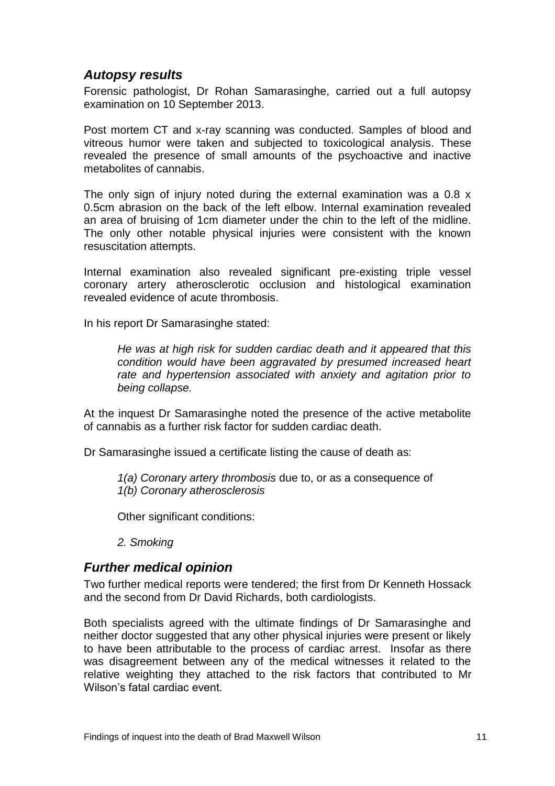#### <span id="page-12-0"></span>*Autopsy results*

Forensic pathologist, Dr Rohan Samarasinghe, carried out a full autopsy examination on 10 September 2013.

Post mortem CT and x-ray scanning was conducted. Samples of blood and vitreous humor were taken and subjected to toxicological analysis. These revealed the presence of small amounts of the psychoactive and inactive metabolites of cannabis.

The only sign of injury noted during the external examination was a 0.8 x 0.5cm abrasion on the back of the left elbow. Internal examination revealed an area of bruising of 1cm diameter under the chin to the left of the midline. The only other notable physical injuries were consistent with the known resuscitation attempts.

Internal examination also revealed significant pre-existing triple vessel coronary artery atherosclerotic occlusion and histological examination revealed evidence of acute thrombosis.

In his report Dr Samarasinghe stated:

*He was at high risk for sudden cardiac death and it appeared that this condition would have been aggravated by presumed increased heart rate and hypertension associated with anxiety and agitation prior to being collapse.*

At the inquest Dr Samarasinghe noted the presence of the active metabolite of cannabis as a further risk factor for sudden cardiac death.

Dr Samarasinghe issued a certificate listing the cause of death as:

*1(a) Coronary artery thrombosis* due to, or as a consequence of *1(b) Coronary atherosclerosis*

Other significant conditions:

*2. Smoking*

#### <span id="page-12-1"></span>*Further medical opinion*

Two further medical reports were tendered; the first from Dr Kenneth Hossack and the second from Dr David Richards, both cardiologists.

Both specialists agreed with the ultimate findings of Dr Samarasinghe and neither doctor suggested that any other physical injuries were present or likely to have been attributable to the process of cardiac arrest. Insofar as there was disagreement between any of the medical witnesses it related to the relative weighting they attached to the risk factors that contributed to Mr Wilson's fatal cardiac event.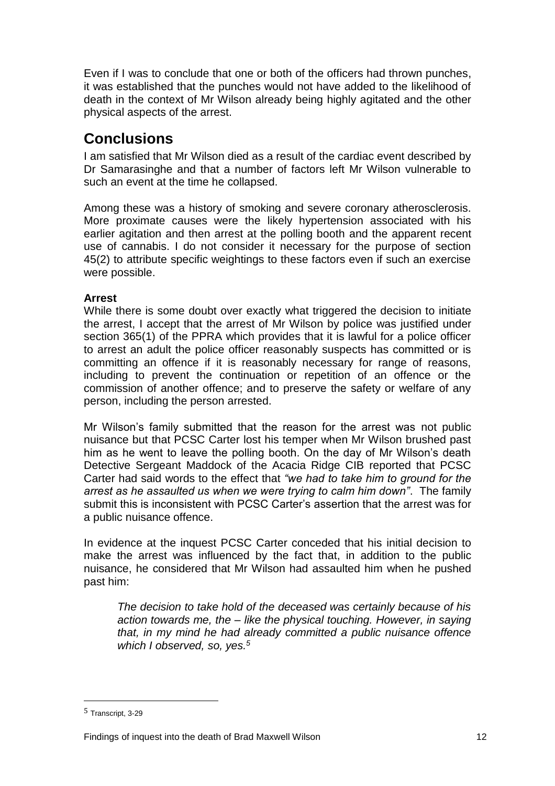Even if I was to conclude that one or both of the officers had thrown punches, it was established that the punches would not have added to the likelihood of death in the context of Mr Wilson already being highly agitated and the other physical aspects of the arrest.

## <span id="page-13-0"></span>**Conclusions**

I am satisfied that Mr Wilson died as a result of the cardiac event described by Dr Samarasinghe and that a number of factors left Mr Wilson vulnerable to such an event at the time he collapsed.

Among these was a history of smoking and severe coronary atherosclerosis. More proximate causes were the likely hypertension associated with his earlier agitation and then arrest at the polling booth and the apparent recent use of cannabis. I do not consider it necessary for the purpose of section 45(2) to attribute specific weightings to these factors even if such an exercise were possible.

#### **Arrest**

While there is some doubt over exactly what triggered the decision to initiate the arrest, I accept that the arrest of Mr Wilson by police was justified under section 365(1) of the PPRA which provides that it is lawful for a police officer to arrest an adult the police officer reasonably suspects has committed or is committing an offence if it is reasonably necessary for range of reasons, including to prevent the continuation or repetition of an offence or the commission of another offence; and to preserve the safety or welfare of any person, including the person arrested.

Mr Wilson's family submitted that the reason for the arrest was not public nuisance but that PCSC Carter lost his temper when Mr Wilson brushed past him as he went to leave the polling booth. On the day of Mr Wilson's death Detective Sergeant Maddock of the Acacia Ridge CIB reported that PCSC Carter had said words to the effect that *"we had to take him to ground for the arrest as he assaulted us when we were trying to calm him down"*. The family submit this is inconsistent with PCSC Carter's assertion that the arrest was for a public nuisance offence.

In evidence at the inquest PCSC Carter conceded that his initial decision to make the arrest was influenced by the fact that, in addition to the public nuisance, he considered that Mr Wilson had assaulted him when he pushed past him:

*The decision to take hold of the deceased was certainly because of his action towards me, the – like the physical touching. However, in saying that, in my mind he had already committed a public nuisance offence which I observed, so, yes.<sup>5</sup>*

<sup>5</sup> Transcript, 3-29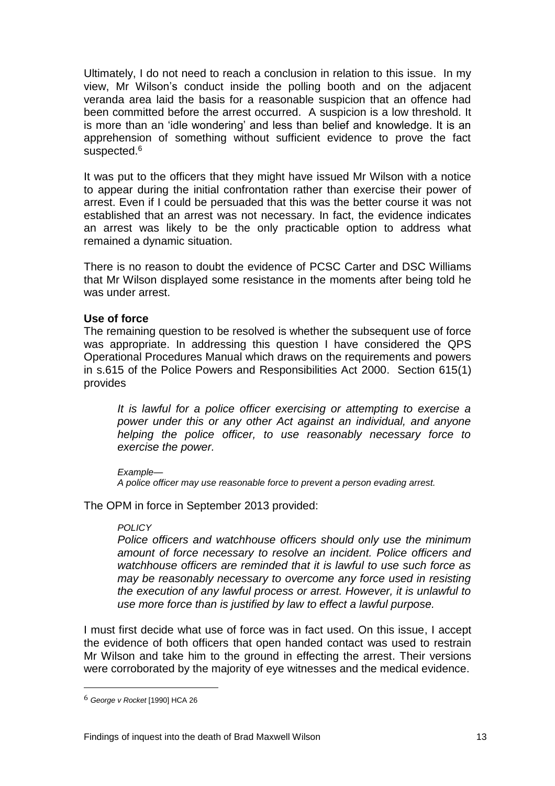Ultimately, I do not need to reach a conclusion in relation to this issue. In my view, Mr Wilson's conduct inside the polling booth and on the adjacent veranda area laid the basis for a reasonable suspicion that an offence had been committed before the arrest occurred. A suspicion is a low threshold. It is more than an 'idle wondering' and less than belief and knowledge. It is an apprehension of something without sufficient evidence to prove the fact suspected.<sup>6</sup>

It was put to the officers that they might have issued Mr Wilson with a notice to appear during the initial confrontation rather than exercise their power of arrest. Even if I could be persuaded that this was the better course it was not established that an arrest was not necessary. In fact, the evidence indicates an arrest was likely to be the only practicable option to address what remained a dynamic situation.

There is no reason to doubt the evidence of PCSC Carter and DSC Williams that Mr Wilson displayed some resistance in the moments after being told he was under arrest.

#### **Use of force**

The remaining question to be resolved is whether the subsequent use of force was appropriate. In addressing this question I have considered the QPS Operational Procedures Manual which draws on the requirements and powers in s.615 of the Police Powers and Responsibilities Act 2000. Section 615(1) provides

*It is lawful for a police officer exercising or attempting to exercise a power under this or any other Act against an individual, and anyone helping the police officer, to use reasonably necessary force to exercise the power.* 

#### *Example—*

*A police officer may use reasonable force to prevent a person evading arrest.* 

The OPM in force in September 2013 provided:

#### *POLICY*

*Police officers and watchhouse officers should only use the minimum amount of force necessary to resolve an incident. Police officers and watchhouse officers are reminded that it is lawful to use such force as may be reasonably necessary to overcome any force used in resisting the execution of any lawful process or arrest. However, it is unlawful to use more force than is justified by law to effect a lawful purpose.*

I must first decide what use of force was in fact used. On this issue, I accept the evidence of both officers that open handed contact was used to restrain Mr Wilson and take him to the ground in effecting the arrest. Their versions were corroborated by the majority of eye witnesses and the medical evidence.

<sup>6</sup> *George v Rocket* [1990] HCA 26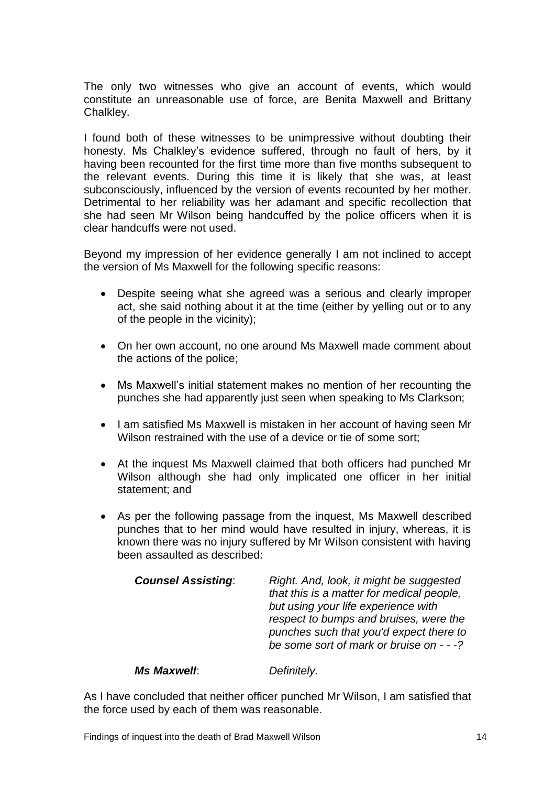The only two witnesses who give an account of events, which would constitute an unreasonable use of force, are Benita Maxwell and Brittany Chalkley.

I found both of these witnesses to be unimpressive without doubting their honesty. Ms Chalkley's evidence suffered, through no fault of hers, by it having been recounted for the first time more than five months subsequent to the relevant events. During this time it is likely that she was, at least subconsciously, influenced by the version of events recounted by her mother. Detrimental to her reliability was her adamant and specific recollection that she had seen Mr Wilson being handcuffed by the police officers when it is clear handcuffs were not used.

Beyond my impression of her evidence generally I am not inclined to accept the version of Ms Maxwell for the following specific reasons:

- Despite seeing what she agreed was a serious and clearly improper act, she said nothing about it at the time (either by yelling out or to any of the people in the vicinity);
- On her own account, no one around Ms Maxwell made comment about the actions of the police;
- Ms Maxwell's initial statement makes no mention of her recounting the punches she had apparently just seen when speaking to Ms Clarkson;
- I am satisfied Ms Maxwell is mistaken in her account of having seen Mr Wilson restrained with the use of a device or tie of some sort:
- At the inquest Ms Maxwell claimed that both officers had punched Mr Wilson although she had only implicated one officer in her initial statement; and
- As per the following passage from the inquest, Ms Maxwell described punches that to her mind would have resulted in injury, whereas, it is known there was no injury suffered by Mr Wilson consistent with having been assaulted as described:

| respect to bumps and bruises, were the<br>punches such that you'd expect there to<br>be some sort of mark or bruise on - - -? |
|-------------------------------------------------------------------------------------------------------------------------------|
|                                                                                                                               |

#### *Ms Maxwell*: *Definitely.*

As I have concluded that neither officer punched Mr Wilson, I am satisfied that the force used by each of them was reasonable.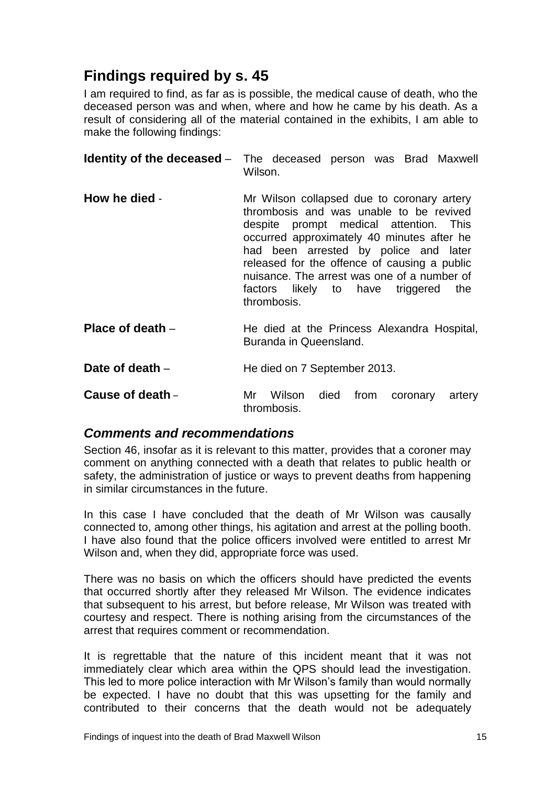# <span id="page-16-0"></span>**Findings required by s. 45**

I am required to find, as far as is possible, the medical cause of death, who the deceased person was and when, where and how he came by his death. As a result of considering all of the material contained in the exhibits, I am able to make the following findings:

<span id="page-16-2"></span><span id="page-16-1"></span>

|                  | <b>Identity of the deceased</b> – The deceased person was Brad Maxwell<br>Wilson.                                                                                                                                                                                                                                                                                               |
|------------------|---------------------------------------------------------------------------------------------------------------------------------------------------------------------------------------------------------------------------------------------------------------------------------------------------------------------------------------------------------------------------------|
| How he died -    | Mr Wilson collapsed due to coronary artery<br>thrombosis and was unable to be revived<br>despite prompt medical attention. This<br>occurred approximately 40 minutes after he<br>had been arrested by police and later<br>released for the offence of causing a public<br>nuisance. The arrest was one of a number of<br>factors likely to have triggered<br>the<br>thrombosis. |
| Place of death - | He died at the Princess Alexandra Hospital,<br>Buranda in Queensland.                                                                                                                                                                                                                                                                                                           |

<span id="page-16-4"></span><span id="page-16-3"></span>**Date of death** – **He died on 7 September 2013.** 

<span id="page-16-5"></span>**Cause of death** – Mr Wilson died from coronary artery thrombosis.

#### <span id="page-16-6"></span>*Comments and recommendations*

Section 46, insofar as it is relevant to this matter, provides that a coroner may comment on anything connected with a death that relates to public health or safety, the administration of justice or ways to prevent deaths from happening in similar circumstances in the future.

In this case I have concluded that the death of Mr Wilson was causally connected to, among other things, his agitation and arrest at the polling booth. I have also found that the police officers involved were entitled to arrest Mr Wilson and, when they did, appropriate force was used.

There was no basis on which the officers should have predicted the events that occurred shortly after they released Mr Wilson. The evidence indicates that subsequent to his arrest, but before release, Mr Wilson was treated with courtesy and respect. There is nothing arising from the circumstances of the arrest that requires comment or recommendation.

It is regrettable that the nature of this incident meant that it was not immediately clear which area within the QPS should lead the investigation. This led to more police interaction with Mr Wilson's family than would normally be expected. I have no doubt that this was upsetting for the family and contributed to their concerns that the death would not be adequately